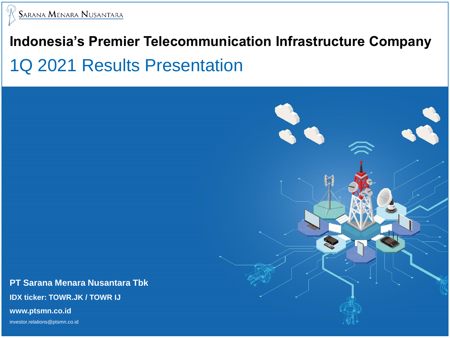# **Indonesia's Premier Telecommunication Infrastructure Company**  1Q 2021 Results Presentation

**PT Sarana Menara Nusantara Tbk IDX ticker: TOWR.JK / TOWR IJ www.ptsmn.co.id** investor.relations@ptsmn.co.id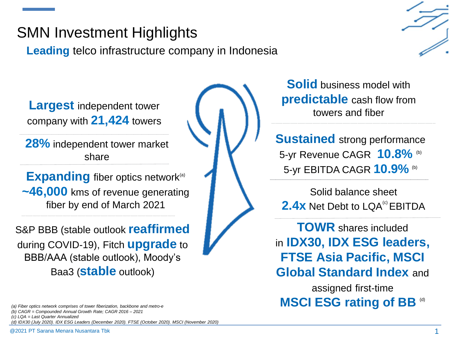# SMN Investment Highlights

**Leading** telco infrastructure company in Indonesia



**Largest** independent tower company with **21,424** towers

**28%** independent tower market share

**Expanding** fiber optics network<sup>(a)</sup> **~46,000** kms of revenue generating fiber by end of March 2021

S&P BBB (stable outlook **reaffirmed** during COVID-19), Fitch **upgrade** to BBB/AAA (stable outlook), Moody's Baa3 (**stable** outlook)

**Solid** business model with **predictable** cash flow from towers and fiber

**Sustained** strong performance 5-yr Revenue CAGR **10.8%** (b) 5-yr EBITDA CAGR **10.9%** (b)

Solid balance sheet **2.4x** Net Debt to LQA<sup>(c)</sup> EBITDA

**TOWR** shares included in **IDX30, IDX ESG leaders, FTSE Asia Pacific, MSCI Global Standard Index** and assigned first-time

**MSCI ESG rating of BB (d)** 

*(a) Fiber optics network comprises of tower fiberization, backbone and metro-e*

*(b) CAGR = Compounded Annual Growth Rate; CAGR 2016 – 2021*

*(c) LQA = Last Quarter Annualized* 

*(d) IDX30 (July 2020). IDX ESG Leaders (December 2020). FTSE (October 2020). MSCI (November 2020)*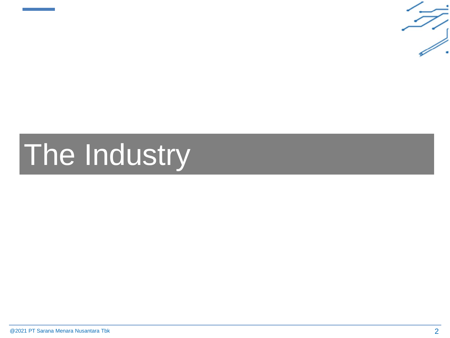

# The Industry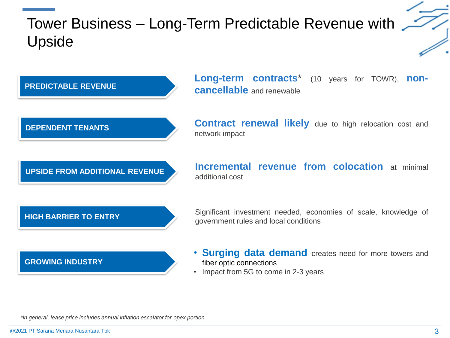# Tower Business – Long-Term Predictable Revenue with Upside





**Long-term contracts**\* (10 years for TOWR), **noncancellable** and renewable

**Contract renewal likely** due to high relocation cost and network impact

**UPSIDE FROM ADDITIONAL REVENUE**

**Incremental revenue from colocation** at minimal additional cost

#### **HIGH BARRIER TO ENTRY**

Significant investment needed, economies of scale, knowledge of government rules and local conditions

#### **GROWING INDUSTRY**

- **Surging data demand** creates need for more towers and fiber optic connections
- Impact from 5G to come in 2-3 years

*\*ln general, lease price includes annual inflation escalator for opex portion*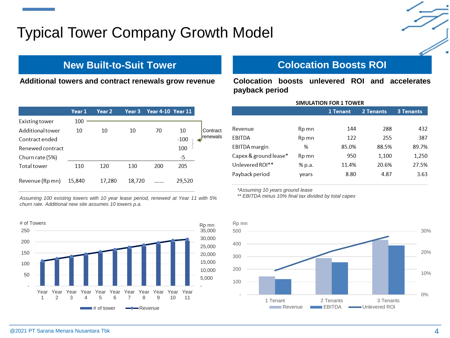# Typical Tower Company Growth Model

#### **New Built-to-Suit Tower Colocation Boosts ROI**

|                         | Year 1 | Year 2 | Year 3 | <b>Year 4-10 Year 11</b> |        |
|-------------------------|--------|--------|--------|--------------------------|--------|
| Existing tower          | 100    |        |        |                          |        |
| <b>Additional tower</b> | 10     | 10     | 10     | 70                       | 10     |
| Contract ended          |        |        |        |                          | $-100$ |
| Renewed contract        |        |        |        |                          | 100    |
| Churn rate (5%)         |        |        |        |                          | -5     |
| Total tower             | 110    | 120    | 130    | 200                      | 205    |
| Revenue (Rp mn)         | 15,840 | 17,280 | 18,720 |                          | 29,520 |

*Assuming 100 existing towers with 10 year lease period, renewed at Year 11 with 5% churn rate. Additional new site assumes 10 towers p.a.*



**Additional towers and contract renewals grow revenue Colocation boosts unlevered ROI and accelerates payback period**

**SIMULATION FOR 1 TOWER** 

|                       |        | 1 Tenant | 2 Tenants | <b>3 Tenants</b> |
|-----------------------|--------|----------|-----------|------------------|
|                       |        |          |           |                  |
| Revenue               | Rp mn  | 144      | 288       | 432              |
| EBITDA                | Rp mn  | 122      | 255       | 387              |
| EBITDA margin         | %      | 85.0%    | 88.5%     | 89.7%            |
| Capex & ground lease* | Rp mn  | 950      | 1,100     | 1,250            |
| Unlevered ROI**       | % p.a. | 11.4%    | 20.6%     | 27.5%            |
| Payback period        | years  | 8.80     | 4.87      | 3.63             |

*\*Assuming 10 years ground lease*

*\*\* EBITDA minus 10% final tax divided by total capex*

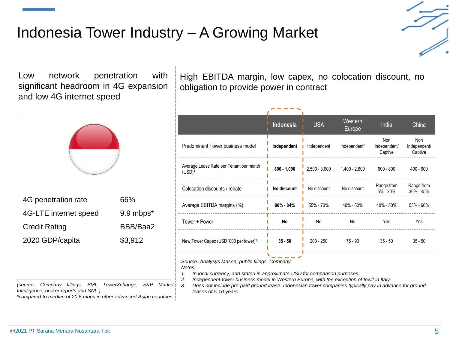# Indonesia Tower Industry – A Growing Market

Low network penetration with significant headroom in 4G expansion and low 4G internet speed

High EBITDA margin, low capex, no colocation discount, no obligation to provide power in contract

| 4G penetration rate   | 66%       |
|-----------------------|-----------|
| 4G-LTE internet speed | 9.9 mbps* |
| <b>Credit Rating</b>  | BBB/Baa2  |
| 2020 GDP/capita       | \$3,912   |
|                       |           |

|                                                               | Indonesia     | <b>USA</b>      | Western<br>Europe        | India                                 | China                          |
|---------------------------------------------------------------|---------------|-----------------|--------------------------|---------------------------------------|--------------------------------|
| Predominant Tower business model                              | Independent   | Independent     | Independent <sup>2</sup> | <b>Non</b><br>Independent/<br>Captive | Non<br>Independent/<br>Captive |
| Average Lease Rate per Tenant per month<br>(USD) <sup>1</sup> | $800 - 1,000$ | $2.500 - 3.000$ | $1.400 - 2.600$          | $600 - 800$                           | $400 - 600$                    |
| Colocation discounts / rebate                                 | No discount   | No discount     | No discount              | Range from<br>5% - 20%                | Range from<br>$30\% - 45\%$    |
| Average EBITDA margins (%)                                    | $80\% - 84\%$ | 55% - 70%       | $40\% - 50\%$            | $40\% - 50\%$                         | 55% - 60%                      |
| Tower + Power                                                 | No            | No              | No                       | Yes                                   | Yes                            |
| New Tower Capex (USD '000 per tower) <sup>1,3</sup>           | $35 - 50$     | $200 - 250$     | $75 - 90$                | $35 - 50$                             | $35 - 50$                      |
|                                                               |               |                 |                          |                                       |                                |

*Source: Analysys Mason, public filings, Company*

*Notes:*

*1. In local currency, and stated in approximate USD for comparison purposes.* 

*2. Independent tower business model in Western Europe, with the exception of Inwit in Italy*

*3. Does not include pre-paid ground lease. Indonesian tower companies typically pay in advance for ground leases of 5-10 years.* 

*(source: Company fillings, BMI, TowerXchange, S&P Market Intelligence, broker reports and SNL ) \*compared to median of 20.6 mbps in other advanced Asian countries*

@2021 PT Sarana Menara Nusantara Tbk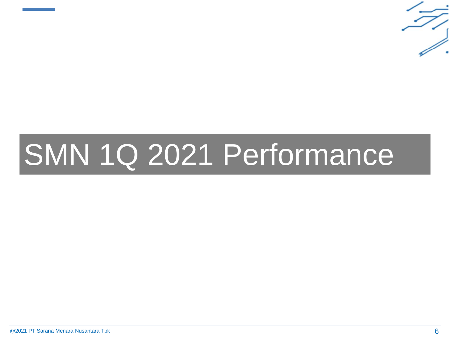

# SMN 1Q 2021 Performance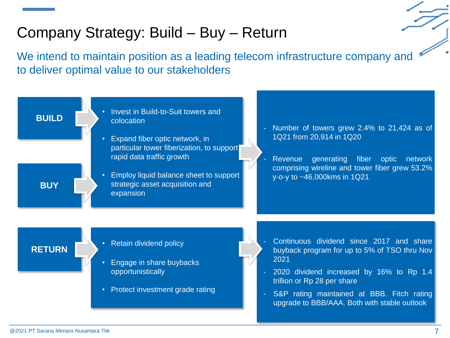## Company Strategy: Build – Buy – Return

We intend to maintain position as a leading telecom infrastructure company and to deliver optimal value to our stakeholders

**BUILD**



- Expand fiber optic network, in particular tower fiberization, to support rapid data traffic growth
- Employ liquid balance sheet to support strategic asset acquisition and expansion
- Number of towers grew 2.4% to 21,424 as of 1Q21 from 20,914 in 1Q20
- Revenue generating fiber optic network comprising wireline and tower fiber grew 53.2% y-o-y to ~46,000kms in 1Q21

#### **RETURN**

**BUY**

- Retain dividend policy
- Engage in share buybacks opportunistically
- Protect investment grade rating
- Continuous dividend since 2017 and share buyback program for up to 5% of TSO thru Nov 2021
- 2020 dividend increased by 16% to Rp 1.4 trillion or Rp 28 per share
- S&P rating maintained at BBB. Fitch rating upgrade to BBB/AAA. Both with stable outlook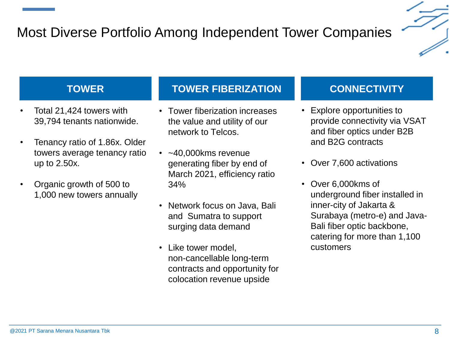## Most Diverse Portfolio Among Independent Tower Companies



### **TOWER**

- Total 21,424 towers with 39,794 tenants nationwide.
- Tenancy ratio of 1.86x. Older towers average tenancy ratio up to 2.50x.
- Organic growth of 500 to 1,000 new towers annually

#### **TOWER FIBERIZATION**

- Tower fiberization increases the value and utility of our network to Telcos.
- ~40,000kms revenue generating fiber by end of March 2021, efficiency ratio 34%
- Network focus on Java, Bali and Sumatra to support surging data demand
- Like tower model, non-cancellable long-term contracts and opportunity for colocation revenue upside

#### **CONNECTIVITY**

- Explore opportunities to provide connectivity via VSAT and fiber optics under B2B and B2G contracts
- Over 7,600 activations
- Over 6,000kms of underground fiber installed in inner-city of Jakarta & Surabaya (metro-e) and Java-Bali fiber optic backbone, catering for more than 1,100 customers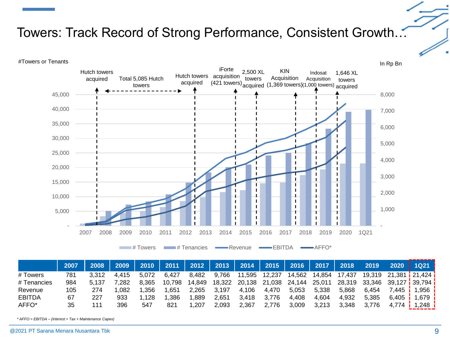### Towers: Track Record of Strong Performance, Consistent Growth…



|               | 2007 | 2008  | 2009  | 2010  | 2011   | 2012   | $2013$ | 2014   | 2015   | 2016   | 2017   | 2018   | 2019   |                      | 2020   1Q21                     |
|---------------|------|-------|-------|-------|--------|--------|--------|--------|--------|--------|--------|--------|--------|----------------------|---------------------------------|
| # Towers      | 781  | 3.312 | 4.415 | 5.072 | 6.427  | 8.482  | 9.766  | 11,595 | 12,237 | 14,562 | 14,854 | 17,437 | 19,319 | $-21,381$ i 21,424 i |                                 |
| # Tenancies   | 984  | 5.137 | 7.282 | 8.365 | 10,798 | 14.849 | 18,322 | 20,138 | 21,038 | 24,144 | 25,011 | 28,319 | 33,346 |                      | نا 39,127 <mark>i</mark> 39,794 |
| Revenue       | 105  | 274   | .082  | .356  | .651   | 2.265  | 3.197  | 4.106  | 4.470  | 5,053  | 5.338  | 5.868  | 6.454  | .445                 | 1.956                           |
| <b>EBITDA</b> | 67   | 227   | 933   | 1.128 | .386   | .889   | 2.651  | 3.418  | 3.776  | 4.408  | 4,604  | 4.932  | 5.385  | 6.405                | 1.679                           |
| AFFO*         | 35   |       | 396   | 547   | 821    | .207   | 2.093  | 2,367  | 2.776  | 3,009  | 3.213  | 3.348  | 3.776  |                      | .248 ا                          |

*\* AFFO = EBITDA – (Interest + Tax + Maintenance Capex)*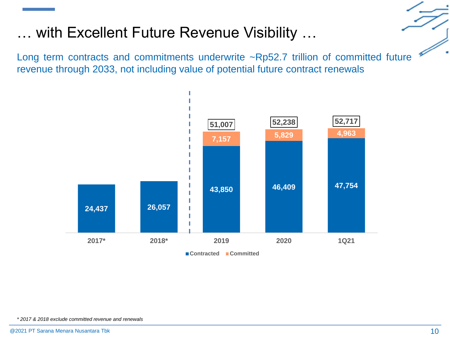# … with Excellent Future Revenue Visibility …

Long term contracts and commitments underwrite ~Rp52.7 trillion of committed future revenue through 2033, not including value of potential future contract renewals

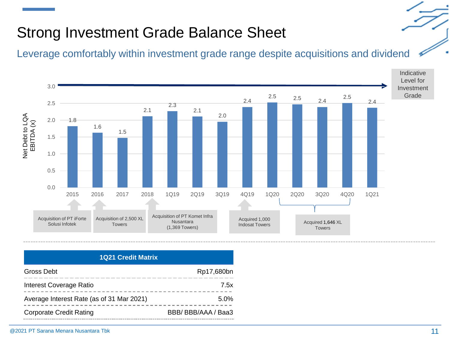# Strong Investment Grade Balance Sheet

Leverage comfortably within investment grade range despite acquisitions and dividend



| <b>1Q21 Credit Matrix</b>                 |                    |  |  |  |  |  |  |
|-------------------------------------------|--------------------|--|--|--|--|--|--|
| Gross Debt                                | Rp17,680bn         |  |  |  |  |  |  |
| Interest Coverage Ratio                   | 7.5x               |  |  |  |  |  |  |
| Average Interest Rate (as of 31 Mar 2021) | $5.0\%$            |  |  |  |  |  |  |
| <b>Corporate Credit Rating</b>            | BBB/BBB/AAA / Baa3 |  |  |  |  |  |  |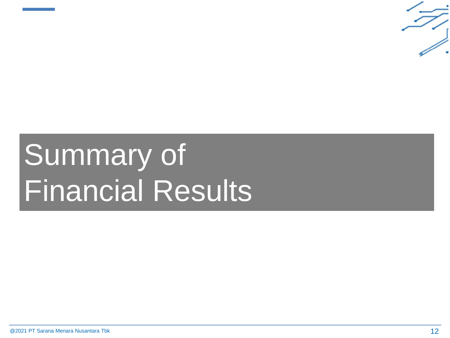

# Summary of Financial Results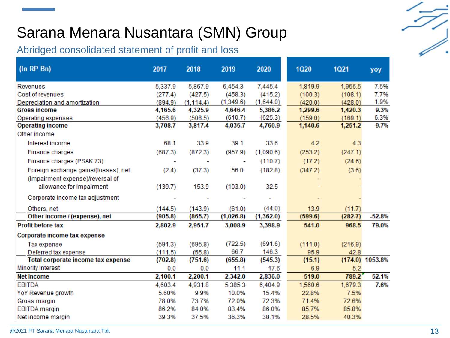# Sarana Menara Nusantara (SMN) Group

### Abridged consolidated statement of profit and loss

| (In RP Bn)                           | 2017                     | 2018       | 2019                     | 2020       | <b>1Q20</b> | <b>1Q21</b> | yoy               |
|--------------------------------------|--------------------------|------------|--------------------------|------------|-------------|-------------|-------------------|
| Revenues                             | 5,337.9                  | 5,867.9    | 6,454.3                  | 7,445.4    | 1,819.9     | 1,956.5     | 7.5%              |
| Cost of revenues                     | (277.4)                  | (427.5)    | (458.3)                  | (415.2)    | (100.3)     | (108.1)     | 7.7%              |
| Depreciation and amortization        | (894.9)                  | (1, 114.4) | (1,349.6)                | (1,644.0)  | (420.0)     | (428.0)     | 1.9%              |
| <b>Gross income</b>                  | 4,165.6                  | 4,325.9    | 4,646.4                  | 5,386.2    | 1,299.6     | 1,420.3     | 9.3%              |
| Operating expenses                   | (456.9)                  | (508.5)    | (610.7)                  | (625.3)    | (159.0)     | (169.1)     | 6.3%              |
| <b>Operating income</b>              | 3,708.7                  | 3,817.4    | 4,035.7                  | 4,760.9    | 1,140.6     | 1,251.2     | 9.7%              |
| Other income                         |                          |            |                          |            |             |             |                   |
| Interest income                      | 68.1                     | 33.9       | 39.1                     | 33.6       | 4.2         | 4.3         |                   |
| Finance charges                      | (687.3)                  | (872.3)    | (957.9)                  | (1,090.6)  | (253.2)     | (247.1)     |                   |
| Finance charges (PSAK 73)            | $\overline{\phantom{a}}$ |            | $\overline{\phantom{a}}$ | (110.7)    | (17.2)      | (24.6)      |                   |
| Foreign exchange gains/(losses), net | (2.4)                    | (37.3)     | 56.0                     | (182.8)    | (347.2)     | (3.6)       |                   |
| (Impairment expense)/reversal of     |                          |            |                          |            |             |             |                   |
| allowance for impairment             | (139.7)                  | 153.9      | (103.0)                  | 32.5       |             |             |                   |
| Corporate income tax adjustment      |                          |            |                          |            |             |             |                   |
| Others, net                          | (144.5)                  | (143.9)    | (61.0)                   | (44.0)     | 13.9        | (11.7)      |                   |
| Other income / (expense), net        | (905.8)                  | (865.7)    | (1,026.8)                | (1, 362.0) | (599.6)     | (282.7)     | $-52.8%$          |
| <b>Profit before tax</b>             | 2,802.9                  | 2,951.7    | 3,008.9                  | 3,398.9    | 541.0       | 968.5       | 79.0%             |
| Corporate income tax expense         |                          |            |                          |            |             |             |                   |
| Tax expense                          | (591.3)                  | (695.8)    | (722.5)                  | (691.6)    | (111.0)     | (216.9)     |                   |
| Deferred tax expense                 | (111.5)                  | (55.8)     | 66.7                     | 146.3      | 95.9        | 42.8        |                   |
| Total corporate income tax expense   | (702.8)                  | (751.6)    | (655.8)                  | (545.3)    | (15.1)      |             | $(174.0)$ 1053.8% |
| <b>Minority Interest</b>             | 0.0                      | 0.0        | 11.1                     | 17.6       | 6.9         | 5.2         |                   |
| <b>Net Income</b>                    | 2,100.1                  | 2,200.1    | 2,342.0                  | 2,836.0    | 519.0       | 789.2       | 52.1%             |
| <b>EBITDA</b>                        | 4,603.4                  | 4,931.8    | 5,385.3                  | 6,404.9    | 1,560.6     | 1,679.3     | 7.6%              |
| YoY Revenue growth                   | 5.60%                    | 9.9%       | 10.0%                    | 15.4%      | 22.8%       | 7.5%        |                   |
| Gross margin                         | 78.0%                    | 73.7%      | 72.0%                    | 72.3%      | 71.4%       | 72.6%       |                   |
| EBITDA margin                        | 86.2%                    | 84.0%      | 83.4%                    | 86.0%      | 85.7%       | 85.8%       |                   |
| Net income margin                    | 39.3%                    | 37.5%      | 36.3%                    | 38.1%      | 28.5%       | 40.3%       |                   |

@2021 PT Sarana Menara Nusantara Tbk

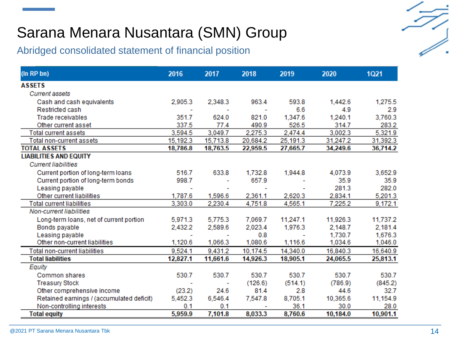# Sarana Menara Nusantara (SMN) Group

Abridged consolidated statement of financial position

| (In RP bn)                                | 2016     | 2017     | 2018     | 2019     | 2020     | <b>1Q21</b> |
|-------------------------------------------|----------|----------|----------|----------|----------|-------------|
| <b>ASSETS</b>                             |          |          |          |          |          |             |
| <b>Current assets</b>                     |          |          |          |          |          |             |
| Cash and cash equivalents                 | 2,905.3  | 2,348.3  | 963.4    | 593.8    | 1,442.6  | 1,275.5     |
| Restricted cash                           |          |          |          | 6.6      | 4.9      | 2.9         |
| <b>Trade receivables</b>                  | 351.7    | 624.0    | 821.0    | 1,347.6  | 1,240.1  | 3,760.3     |
| Other current asset                       | 337.5    | 77.4     | 490.9    | 526.5    | 314.7    | 283.2       |
| <b>Total current assets</b>               | 3,594.5  | 3,049.7  | 2,275.3  | 2,474.4  | 3,002.3  | 5,321.9     |
| Total non-current assets                  | 15,192.3 | 15,713.8 | 20,684.2 | 25,191.3 | 31,247.2 | 31,392.3    |
| <b>TOTAL ASSETS</b>                       | 18,786.8 | 18,763.5 | 22,959.5 | 27,665.7 | 34,249.6 | 36,714.2    |
| <b>LIABILITIES AND EQUITY</b>             |          |          |          |          |          |             |
| <b>Current liabilities</b>                |          |          |          |          |          |             |
| Current portion of long-term loans        | 516.7    | 633.8    | 1,732.8  | 1,944.8  | 4,073.9  | 3,652.9     |
| Current portion of long-term bonds        | 998.7    |          | 657.9    |          | 35.9     | 35.9        |
| Leasing payable                           |          |          |          |          | 281.3    | 282.0       |
| Other current liabilities                 | 1,787.6  | 1,596.6  | 2,361.1  | 2,620.3  | 2,834.1  | 5,201.3     |
| <b>Total current liabilities</b>          | 3,303.0  | 2,230.4  | 4,751.8  | 4,565.1  | 7,225.2  | 9,172.1     |
| Non-current liabilities                   |          |          |          |          |          |             |
| Long-term loans, net of current portion   | 5,971.3  | 5,775.3  | 7,069.7  | 11,247.1 | 11,926.3 | 11,737.2    |
| Bonds payable                             | 2,432.2  | 2,589.6  | 2,023.4  | 1,976.3  | 2,148.7  | 2,181.4     |
| Leasing payable                           |          |          | 0.8      |          | 1,730.7  | 1,676.3     |
| Other non-current liabilities             | 1,120.6  | 1,066.3  | 1,080.6  | 1,116.6  | 1,034.6  | 1,046.0     |
| Total non-current liabilities             | 9,524.1  | 9,431.2  | 10,174.5 | 14,340.0 | 16,840.3 | 16,640.9    |
| <b>Total liabilities</b>                  | 12,827.1 | 11,661.6 | 14,926.3 | 18,905.1 | 24,065.5 | 25,813.1    |
| Equity                                    |          |          |          |          |          |             |
| Common shares                             | 530.7    | 530.7    | 530.7    | 530.7    | 530.7    | 530.7       |
| <b>Treasury Stock</b>                     |          |          | (126.6)  | (514.1)  | (786.9)  | (845.2)     |
| Other comprehensive income                | (23.2)   | 24.6     | 81.4     | 2.8      | 44.6     | 32.7        |
| Retained earnings / (accumulated deficit) | 5,452.3  | 6,546.4  | 7,547.8  | 8,705.1  | 10,365.6 | 11,154.9    |
| Non-controlling interests                 | 0.1      | 0.1      |          | 36.1     | 30.0     | 28.0        |
| <b>Total equity</b>                       | 5,959.9  | 7,101.8  | 8,033.3  | 8,760.6  | 10,184.0 | 10,901.1    |

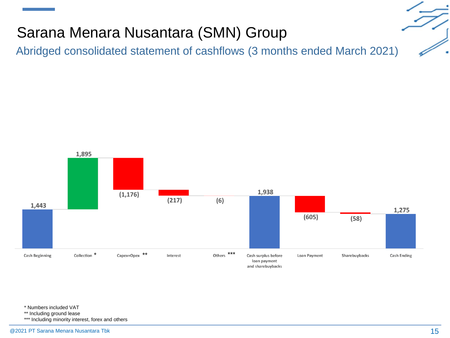# Sarana Menara Nusantara (SMN) Group

Abridged consolidated statement of cashflows (3 months ended March 2021)



\* Numbers included VAT

\*\* Including ground lease

\*\*\* Including minority interest, forex and others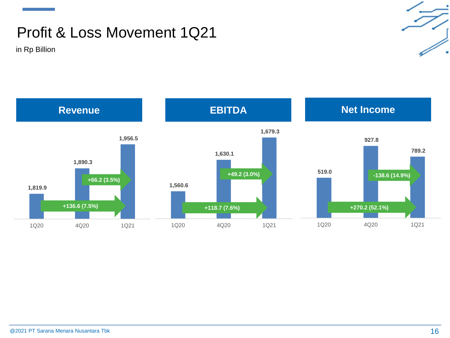# Profit & Loss Movement 1Q21

in Rp Billion

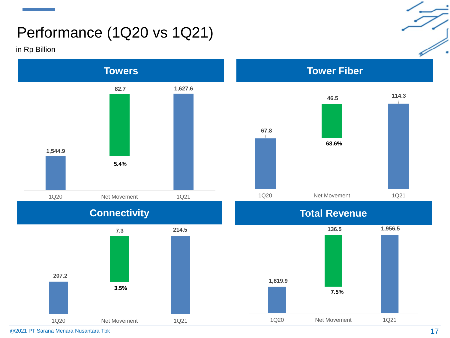# Performance (1Q20 vs 1Q21)

in Rp Billion



@2021 PT Sarana Menara Nusantara Tbk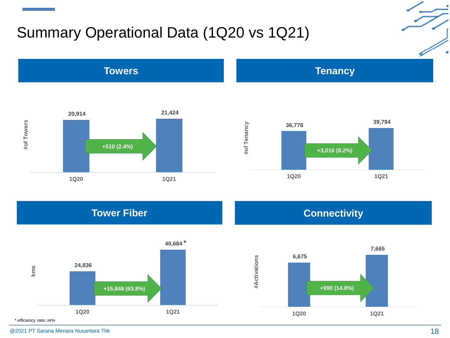# Summary Operational Data (1Q20 vs 1Q21)











@2021 PT Sarana Menara Nusantara Tbk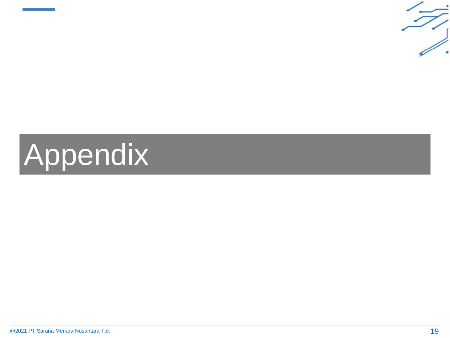

# Appendix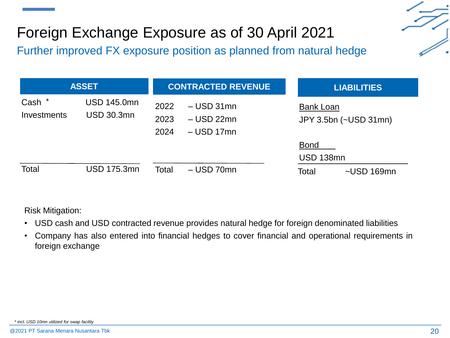

# Foreign Exchange Exposure as of 30 April 2021

Further improved FX exposure position as planned from natural hedge

| <b>ASSET</b>        |                                  | <b>CONTRACTED REVENUE</b> |                                                       |  | <b>LIABILITIES</b>              |                       |  |
|---------------------|----------------------------------|---------------------------|-------------------------------------------------------|--|---------------------------------|-----------------------|--|
| Cash<br>Investments | USD 145.0mn<br><b>USD 30.3mn</b> | 2022<br>2023<br>2024      | $-$ USD 31 $mn$<br>$-$ USD 22 $mn$<br>$-$ USD 17 $mn$ |  | <b>Bank Loan</b>                | JPY 3.5bn (~USD 31mn) |  |
|                     |                                  |                           |                                                       |  | <b>Bond</b><br><b>USD 138mn</b> |                       |  |
| Total               | <b>USD 175.3mn</b>               | Total                     | $-$ USD 70mn                                          |  | Total                           | $\sim$ USD 169mn      |  |

#### Risk Mitigation:

- USD cash and USD contracted revenue provides natural hedge for foreign denominated liabilities
- Company has also entered into financial hedges to cover financial and operational requirements in foreign exchange

*<sup>\*</sup> incl. USD 10mn utilized for swap facility*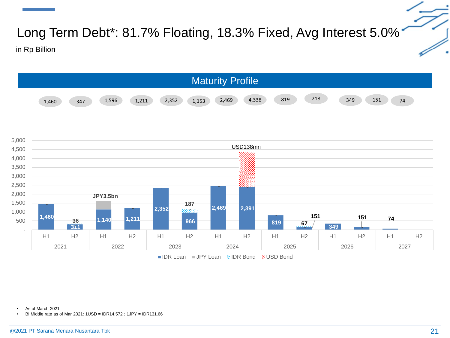Long Term Debt\*: 81.7% Floating, 18.3% Fixed, Avg Interest 5.0% in Rp Billion



• As of March 2021

• BI Middle rate as of Mar 2021: 1USD = IDR14.572 ; 1JPY = IDR131.66